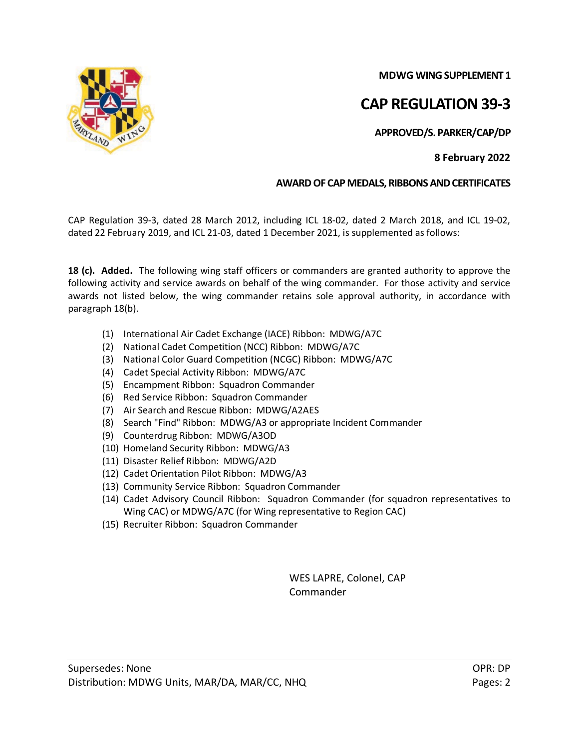**MDWG WING SUPPLEMENT 1**

## **CAP REGULATION 39-3**

**APPROVED/S. PARKER/CAP/DP**

## **8 February 2022**

## **AWARD OF CAP MEDALS, RIBBONS AND CERTIFICATES**

CAP Regulation 39-3, dated 28 March 2012, including ICL 18-02, dated 2 March 2018, and ICL 19-02, dated 22 February 2019, and ICL 21-03, dated 1 December 2021, is supplemented as follows:

**18 (c). Added.** The following wing staff officers or commanders are granted authority to approve the following activity and service awards on behalf of the wing commander. For those activity and service awards not listed below, the wing commander retains sole approval authority, in accordance with paragraph 18(b).

- (1) International Air Cadet Exchange (IACE) Ribbon: MDWG/A7C
- (2) National Cadet Competition (NCC) Ribbon: MDWG/A7C
- (3) National Color Guard Competition (NCGC) Ribbon: MDWG/A7C
- (4) Cadet Special Activity Ribbon: MDWG/A7C
- (5) Encampment Ribbon: Squadron Commander
- (6) Red Service Ribbon: Squadron Commander
- (7) Air Search and Rescue Ribbon: MDWG/A2AES
- (8) Search "Find" Ribbon: MDWG/A3 or appropriate Incident Commander
- (9) Counterdrug Ribbon: MDWG/A3OD
- (10) Homeland Security Ribbon: MDWG/A3
- (11) Disaster Relief Ribbon: MDWG/A2D
- (12) Cadet Orientation Pilot Ribbon: MDWG/A3
- (13) Community Service Ribbon: Squadron Commander
- (14) Cadet Advisory Council Ribbon: Squadron Commander (for squadron representatives to Wing CAC) or MDWG/A7C (for Wing representative to Region CAC)
- (15) Recruiter Ribbon: Squadron Commander

WES LAPRE, Colonel, CAP Commander